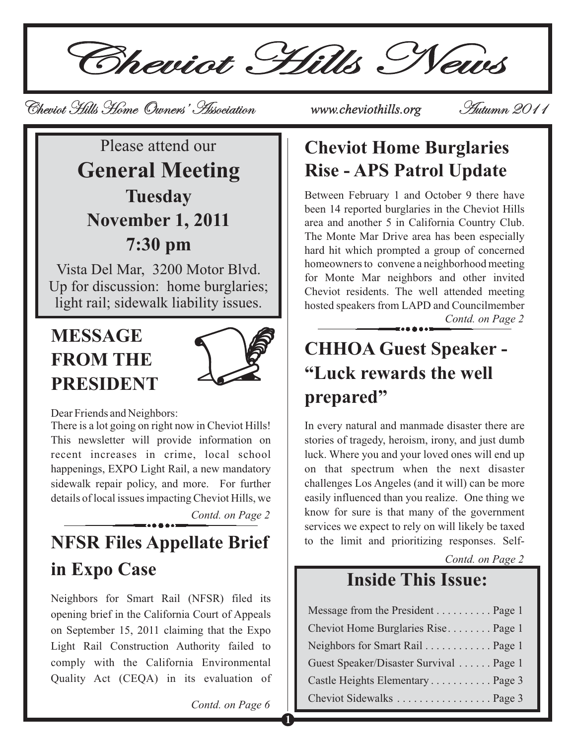Cheviot Hills News

Cheviot Hills Home Owners' Association Cheviot Hills Home Owners' *www.cheviothills.org* Autumn 2011 Autumn

### Please attend our **General Meeting Tuesday November 1, 2011 7:30 pm**

Vista Del Mar, 3200 Motor Blvd. Up for discussion: home burglaries; light rail; sidewalk liability issues.

### **MESSAGE FROM THE PRESIDENT**



Dear Friends and Neighbors:

There is a lot going on right now in Cheviot Hills! This newsletter will provide information on recent increases in crime, local school happenings, EXPO Light Rail, a new mandatory sidewalk repair policy, and more. For further details of local issues impacting Cheviot Hills, we

*Contd. on Page 2*

## **NFSR Files Appellate Brief** to the limit and prioritizing responses. Self**in Expo Case**

Neighbors for Smart Rail (NFSR) filed its opening brief in the California Court of Appeals on September 15, 2011 claiming that the Expo Light Rail Construction Authority failed to comply with the California Environmental Quality Act (CEQA) in its evaluation of

*Contd. on Page 6*

**1**

### **Cheviot Home Burglaries Rise - APS Patrol Update**

Between February 1 and October 9 there have been 14 reported burglaries in the Cheviot Hills area and another 5 in California Country Club. The Monte Mar Drive area has been especially hard hit which prompted a group of concerned homeowners to convene a neighborhood meeting for Monte Mar neighbors and other invited Cheviot residents. The well attended meeting hosted speakers from LAPD and Councilmember *Contd. on Page 2*

### **CHHOA Guest Speaker - "Luck rewards the well prepared"**

In every natural and manmade disaster there are stories of tragedy, heroism, irony, and just dumb luck. Where you and your loved ones will end up on that spectrum when the next disaster challenges Los Angeles (and it will) can be more easily influenced than you realize. One thing we know for sure is that many of the government services we expect to rely on will likely be taxed

*Contd. on Page 2*

#### **Inside This Issue:**

| Message from the President Page 1       |  |
|-----------------------------------------|--|
| Cheviot Home Burglaries Rise Page 1     |  |
| Neighbors for Smart Rail Page 1         |  |
| Guest Speaker/Disaster Survival  Page 1 |  |
| Castle Heights Elementary Page 3        |  |
| Cheviot Sidewalks Page 3                |  |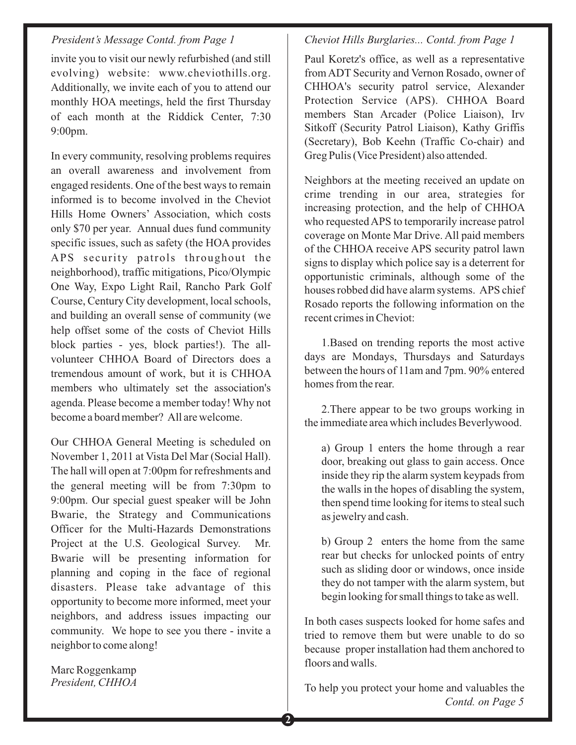invite you to visit our newly refurbished (and still evolving) website: www.cheviothills.org. Additionally, we invite each of you to attend our monthly HOA meetings, held the first Thursday of each month at the Riddick Center, 7:30 9:00pm.

In every community, resolving problems requires an overall awareness and involvement from engaged residents. One of the best ways to remain informed is to become involved in the Cheviot Hills Home Owners' Association, which costs only \$70 per year. Annual dues fund community specific issues, such as safety (the HOA provides APS security patrols throughout the neighborhood), traffic mitigations, Pico/Olympic One Way, Expo Light Rail, Rancho Park Golf Course, Century City development, local schools, and building an overall sense of community (we help offset some of the costs of Cheviot Hills block parties - yes, block parties!). The allvolunteer CHHOA Board of Directors does a tremendous amount of work, but it is CHHOA members who ultimately set the association's agenda. Please become a member today! Why not become a board member? All are welcome.

Our CHHOA General Meeting is scheduled on November 1, 2011 at Vista Del Mar (Social Hall). The hall will open at 7:00pm for refreshments and the general meeting will be from 7:30pm to 9:00pm. Our special guest speaker will be John Bwarie, the Strategy and Communications Officer for the Multi-Hazards Demonstrations Project at the U.S. Geological Survey. Mr. Bwarie will be presenting information for planning and coping in the face of regional disasters. Please take advantage of this opportunity to become more informed, meet your neighbors, and address issues impacting our community. We hope to see you there - invite a neighbor to come along!

Marc Roggenkamp *President, CHHOA*

#### *Cheviot Hills Burglaries... Contd. from Page 1*

Paul Koretz's office, as well as a representative from ADT Security and Vernon Rosado, owner of CHHOA's security patrol service, Alexander Protection Service (APS). CHHOA Board members Stan Arcader (Police Liaison), Irv Sitkoff (Security Patrol Liaison), Kathy Griffis (Secretary), Bob Keehn (Traffic Co-chair) and Greg Pulis (Vice President) also attended.

Neighbors at the meeting received an update on crime trending in our area, strategies for increasing protection, and the help of CHHOA who requested APS to temporarily increase patrol coverage on Monte Mar Drive. All paid members of the CHHOA receive APS security patrol lawn signs to display which police say is a deterrent for opportunistic criminals, although some of the houses robbed did have alarm systems. APS chief Rosado reports the following information on the recent crimes in Cheviot:

1.Based on trending reports the most active days are Mondays, Thursdays and Saturdays between the hours of 11am and 7pm. 90% entered homes from the rear.

2.There appear to be two groups working in the immediate area which includes Beverlywood.

a) Group 1 enters the home through a rear door, breaking out glass to gain access. Once inside they rip the alarm system keypads from the walls in the hopes of disabling the system, then spend time looking for items to steal such as jewelry and cash.

b) Group 2 enters the home from the same rear but checks for unlocked points of entry such as sliding door or windows, once inside they do not tamper with the alarm system, but begin looking for small things to take as well.

In both cases suspects looked for home safes and tried to remove them but were unable to do so because proper installation had them anchored to floors and walls.

To help you protect your home and valuables the *Contd. on Page 5*

**2**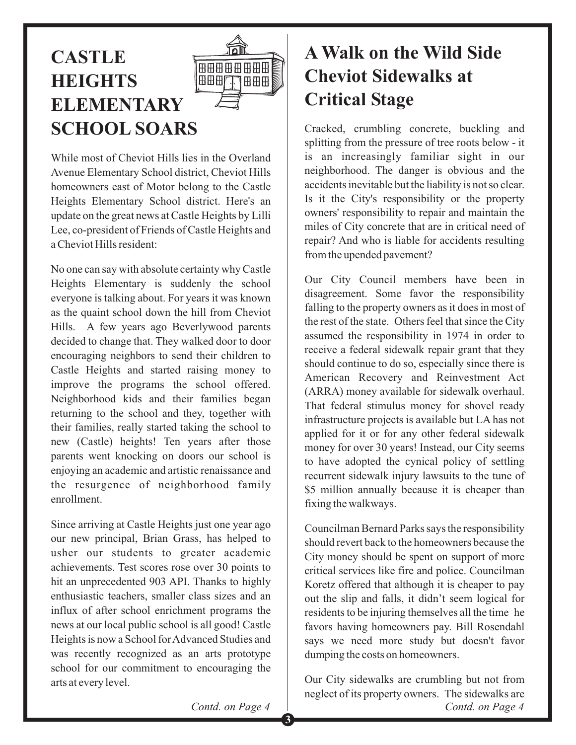



While most of Cheviot Hills lies in the Overland Avenue Elementary School district, Cheviot Hills homeowners east of Motor belong to the Castle Heights Elementary School district. Here's an update on the great news at Castle Heights by Lilli Lee, co-president of Friends of Castle Heights and a Cheviot Hills resident:

No one can say with absolute certainty why Castle Heights Elementary is suddenly the school everyone is talking about. For years it was known as the quaint school down the hill from Cheviot Hills. A few years ago Beverlywood parents decided to change that. They walked door to door encouraging neighbors to send their children to Castle Heights and started raising money to improve the programs the school offered. Neighborhood kids and their families began returning to the school and they, together with their families, really started taking the school to new (Castle) heights! Ten years after those parents went knocking on doors our school is enjoying an academic and artistic renaissance and the resurgence of neighborhood family enrollment.

Since arriving at Castle Heights just one year ago our new principal, Brian Grass, has helped to usher our students to greater academic achievements. Test scores rose over 30 points to hit an unprecedented 903 API. Thanks to highly enthusiastic teachers, smaller class sizes and an influx of after school enrichment programs the news at our local public school is all good! Castle Heights is now a School for Advanced Studies and was recently recognized as an arts prototype school for our commitment to encouraging the arts at every level.

### **A Walk on the Wild Side Cheviot Sidewalks at Critical Stage**

Cracked, crumbling concrete, buckling and splitting from the pressure of tree roots below - it is an increasingly familiar sight in our neighborhood. The danger is obvious and the accidents inevitable but the liability is not so clear. Is it the City's responsibility or the property owners' responsibility to repair and maintain the miles of City concrete that are in critical need of repair? And who is liable for accidents resulting from the upended pavement?

Our City Council members have been in disagreement. Some favor the responsibility falling to the property owners as it does in most of the rest of the state. Others feel that since the City assumed the responsibility in 1974 in order to receive a federal sidewalk repair grant that they should continue to do so, especially since there is American Recovery and Reinvestment Act (ARRA) money available for sidewalk overhaul. That federal stimulus money for shovel ready infrastructure projects is available but LA has not applied for it or for any other federal sidewalk money for over 30 years! Instead, our City seems to have adopted the cynical policy of settling recurrent sidewalk injury lawsuits to the tune of \$5 million annually because it is cheaper than fixing the walkways.

Councilman Bernard Parks says the responsibility should revert back to the homeowners because the City money should be spent on support of more critical services like fire and police. Councilman Koretz offered that although it is cheaper to pay out the slip and falls, it didn't seem logical for residents to be injuring themselves all the time he favors having homeowners pay. Bill Rosendahl says we need more study but doesn't favor dumping the costs on homeowners.

*Contd. on Page 4* Our City sidewalks are crumbling but not from neglect of its property owners. The sidewalks are

*Contd. on Page 4*

**3**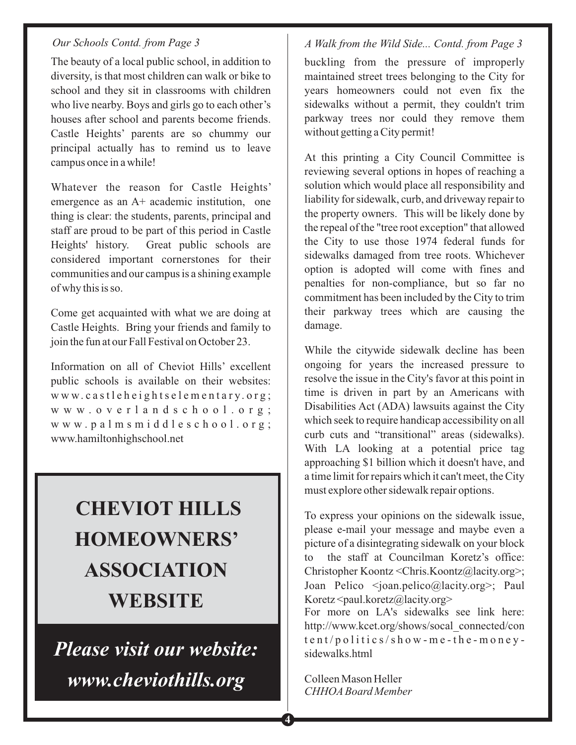#### *Our Schools Contd. from Page 3*

The beauty of a local public school, in addition to diversity, is that most children can walk or bike to school and they sit in classrooms with children who live nearby. Boys and girls go to each other's houses after school and parents become friends. Castle Heights' parents are so chummy our principal actually has to remind us to leave campus once in a while!

Whatever the reason for Castle Heights' emergence as an A+ academic institution, one thing is clear: the students, parents, principal and staff are proud to be part of this period in Castle Heights' history. Great public schools are considered important cornerstones for their communities and our campus is a shining example of why this is so.

Come get acquainted with what we are doing at Castle Heights. Bring your friends and family to join the fun at our Fall Festival on October 23.

Information on all of Cheviot Hills' excellent public schools is available on their websites: www.castleheightselementary.org; www.overlandschool.org; www.palmsmiddleschool.org; www.hamiltonhighschool.net

# **CHEVIOT HILLS HOMEOWNERS' ASSOCIATION WEBSITE**

Please visit our website:  $www.$ *cheviothills.org www.cheviothills.org*

#### *A Walk from the Wild Side... Contd. from Page 3*

buckling from the pressure of improperly maintained street trees belonging to the City for years homeowners could not even fix the sidewalks without a permit, they couldn't trim parkway trees nor could they remove them without getting a City permit!

At this printing a City Council Committee is reviewing several options in hopes of reaching a solution which would place all responsibility and liability for sidewalk, curb, and driveway repair to the property owners. This will be likely done by the repeal of the "tree root exception" that allowed the City to use those 1974 federal funds for sidewalks damaged from tree roots. Whichever option is adopted will come with fines and penalties for non-compliance, but so far no commitment has been included by the City to trim their parkway trees which are causing the damage.

While the citywide sidewalk decline has been ongoing for years the increased pressure to resolve the issue in the City's favor at this point in time is driven in part by an Americans with Disabilities Act (ADA) lawsuits against the City which seek to require handicap accessibility on all curb cuts and "transitional" areas (sidewalks). With LA looking at a potential price tag approaching \$1 billion which it doesn't have, and a time limit for repairs which it can't meet, the City must explore other sidewalk repair options.

To express your opinions on the sidewalk issue, please e-mail your message and maybe even a picture of a disintegrating sidewalk on your block to the staff at Councilman Koretz's office: Christopher Koontz <Chris.Koontz@lacity.org>; Joan Pelico <joan.pelico@lacity.org>; Paul  $Koretz \leq$ paul.koretz@lacity.org>

For more on LA's sidewalks see link here: http://www.kcet.org/shows/socal\_connected/con tent/politics/show-me-the-moneysidewalks.html

Colleen Mason Heller *CHHOA Board Member*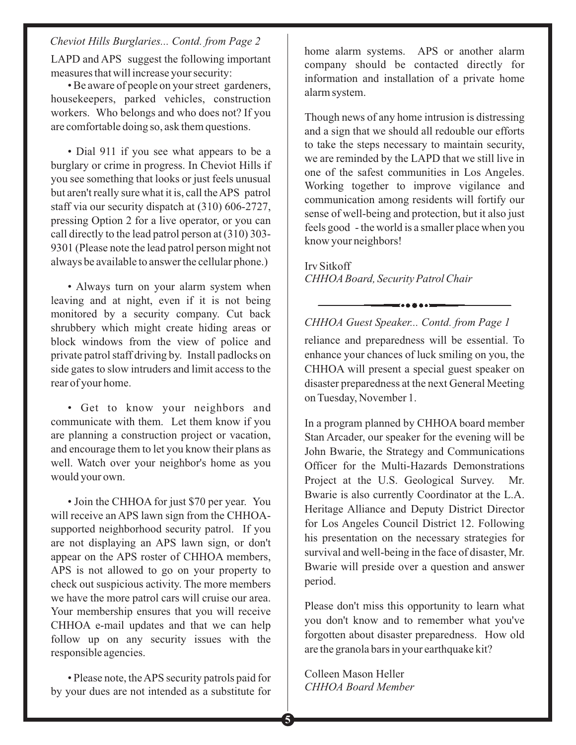*Cheviot Hills Burglaries... Contd. from Page 2*

LAPD and APS suggest the following important measures that will increase your security:

• Be aware of people on your street gardeners, housekeepers, parked vehicles, construction workers. Who belongs and who does not? If you are comfortable doing so, ask them questions.

• Dial 911 if you see what appears to be a burglary or crime in progress. In Cheviot Hills if you see something that looks or just feels unusual but aren't really sure what it is, call theAPS patrol staff via our security dispatch at (310) 606-2727, pressing Option 2 for a live operator, or you can call directly to the lead patrol person at (310) 303- 9301 (Please note the lead patrol person might not always be available to answer the cellular phone.)

• Always turn on your alarm system when leaving and at night, even if it is not being monitored by a security company. Cut back shrubbery which might create hiding areas or block windows from the view of police and private patrol staff driving by. Install padlocks on side gates to slow intruders and limit access to the rear of your home.

• Get to know your neighbors and communicate with them. Let them know if you are planning a construction project or vacation, and encourage them to let you know their plans as well. Watch over your neighbor's home as you would your own.

• Join the CHHOA for just \$70 per year. You will receive an APS lawn sign from the CHHOAsupported neighborhood security patrol. If you are not displaying an APS lawn sign, or don't appear on the APS roster of CHHOA members, APS is not allowed to go on your property to check out suspicious activity. The more members we have the more patrol cars will cruise our area. Your membership ensures that you will receive CHHOA e-mail updates and that we can help follow up on any security issues with the responsible agencies.

• Please note, theAPS security patrols paid for by your dues are not intended as a substitute for home alarm systems. APS or another alarm company should be contacted directly for information and installation of a private home alarm system.

Though news of any home intrusion is distressing and a sign that we should all redouble our efforts to take the steps necessary to maintain security, we are reminded by the LAPD that we still live in one of the safest communities in Los Angeles. Working together to improve vigilance and communication among residents will fortify our sense of well-being and protection, but it also just feels good - the world is a smaller place when you know your neighbors!

Irv Sitkoff *CHHOA Board, Security Patrol Chair*

*CHHOA Guest Speaker... Contd. from Page 1*

reliance and preparedness will be essential. To enhance your chances of luck smiling on you, the CHHOA will present a special guest speaker on disaster preparedness at the next General Meeting on Tuesday, November 1.

In a program planned by CHHOA board member Stan Arcader, our speaker for the evening will be John Bwarie, the Strategy and Communications Officer for the Multi-Hazards Demonstrations Project at the U.S. Geological Survey. Mr. Bwarie is also currently Coordinator at the L.A. Heritage Alliance and Deputy District Director for Los Angeles Council District 12. Following his presentation on the necessary strategies for survival and well-being in the face of disaster, Mr. Bwarie will preside over a question and answer period.

Please don't miss this opportunity to learn what you don't know and to remember what you've forgotten about disaster preparedness. How old are the granola bars in your earthquake kit?

Colleen Mason Heller *CHHOA Board Member*